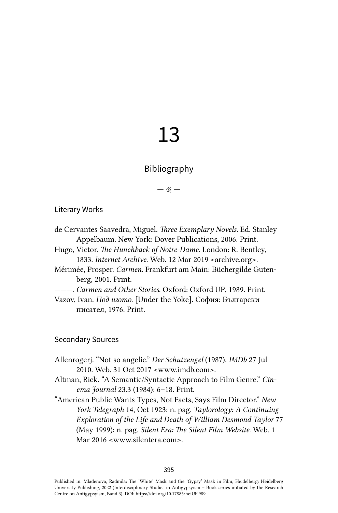## 13

## Bibliography

— ※ —

## Literary Works

- de Cervantes Saavedra, Miguel. *Three Exemplary Novels*. Ed. Stanley Appelbaum. New York: Dover Publications, 2006. Print.
- Hugo, Victor. *The Hunchback of Notre-Dame*. London: R. Bentley, 1833. *Internet Archive*. Web. 12 Mar 2019 <archive.org>.
- Mérimée, Prosper. *Carmen.* Frankfurt am Main: Büchergilde Gutenberg, 2001. Print.
- ———. *Carmen and Other Stories*. Oxford: Oxford UP, 1989. Print.
- Vazov, Ivan. *Под игото*. [Under the Yoke]. София: Български писател, 1976. Print.

## Secondary Sources

- Allenrogerj. "Not so angelic." *Der Schutzengel* (1987). *IMDb* 27 Jul 2010. Web. 31 Oct 2017 <[www.imdb.com>](http://www.imdb.com).
- Altman, Rick. "A Semantic/Syntactic Approach to Film Genre." *Cinema Journal* 23.3 (1984): 6–18. Print.
- "American Public Wants Types, Not Facts, Says Film Director." *New York Telegraph* 14, Oct 1923: n. pag. *Taylorology: A Continuing Exploration of the Life and Death of William Desmond Taylor* 77 (May 1999): n. pag. *Silent Era: The Silent Film Website*. Web. 1 Mar 2016 [<www.silentera.com>](http://www.silentera.com).

Published in: Mladenova, Radmila: The 'White' Mask and the 'Gypsy' Mask in Film, Heidelberg: Heidelberg University Publishing, 2022 (Interdisciplinary Studies in Antigypsyism – Book series initiated by the Research Centre on Antigypsyism, Band 3). DOI:<https://doi.org/10.17885/heiUP.989>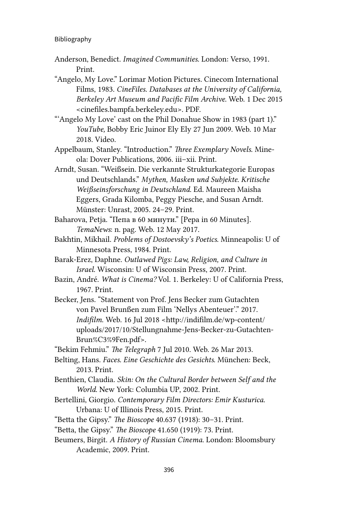- Anderson, Benedict. *Imagined Communities*. London: Verso, 1991. Print.
- "Angelo, My Love." Lorimar Motion Pictures. Cinecom International Films, 1983. *CineFiles. Databases at the University of California, Berkeley Art Museum and Pacific Film Archive*. Web. 1 Dec 2015 <cinefiles.bampfa.berkeley.edu>. PDF.
- "'Angelo My Love' cast on the Phil Donahue Show in 1983 (part 1)." *YouTube,* Bobby Eric Juinor Ely Ely 27 Jun 2009. Web. 10 Mar 2018. Video.
- Appelbaum, Stanley. "Introduction." *Three Exemplary Novels*. Mineola: Dover Publications, 2006. iii–xii. Print.
- Arndt, Susan. "Weißsein. Die verkannte Strukturkategorie Europas und Deutschlands." *Mythen, Masken und Subjekte. Kritische Weißseinsforschung in Deutschland*. Ed. Maureen Maisha Eggers, Grada Kilomba, Peggy Piesche, and Susan Arndt. Münster: Unrast, 2005. 24–29. Print.
- Baharova, Petja. "Пепа в 60 минути." [Pepa in 60 Minutes]. *TemaNews*: n. pag. Web. 12 May 2017.
- Bakhtin, Mikhail. *Problems of Dostoevsky's Poetics*. Minneapolis: U of Minnesota Press, 1984. Print.
- Barak-Erez, Daphne. *Outlawed Pigs: Law, Religion, and Culture in Israel.* Wisconsin: U of Wisconsin Press, 2007. Print.
- Bazin, André. *What is Cinema?* Vol. 1. Berkeley: U of California Press, 1967. Print.
- Becker, Jens. "Statement von Prof. Jens Becker zum Gutachten von Pavel Brunßen zum Film 'Nellys Abenteuer'." 2017. *Indifilm*. Web. 16 Jul 2018 <[http://indifilm.de/wp-content/](http://indifilm.de/wp-content/uploads/2017/10/Stellungnahme-Jens-Becker-zu-GutachtenBrun%C3%9Fen.pdf) [uploads/2017/10/Stellungnahme-Jens-Becker-zu-Gutachten](http://indifilm.de/wp-content/uploads/2017/10/Stellungnahme-Jens-Becker-zu-GutachtenBrun%C3%9Fen.pdf)-[Brun%C3%9Fen.pdf](http://indifilm.de/wp-content/uploads/2017/10/Stellungnahme-Jens-Becker-zu-GutachtenBrun%C3%9Fen.pdf)>.

"Bekim Fehmiu." *The Telegraph* 7 Jul 2010. Web. 26 Mar 2013.

- Belting, Hans. *Faces. Eine Geschichte des Gesichts*. München: Beck, 2013. Print.
- Benthien, Claudia. *Skin: On the Cultural Border between Self and the World*. New York: Columbia UP, 2002. Print.
- Bertellini, Giorgio. *Contemporary Film Directors: Emir Kusturica*. Urbana: U of Illinois Press, 2015. Print.
- "Betta the Gipsy." *The Bioscope* 40.637 (1918): 30–31. Print.
- "Betta, the Gipsy." *The Bioscope* 41.650 (1919): 73. Print.
- Beumers, Birgit. *A History of Russian Cinema*. London: Bloomsbury Academic, 2009. Print.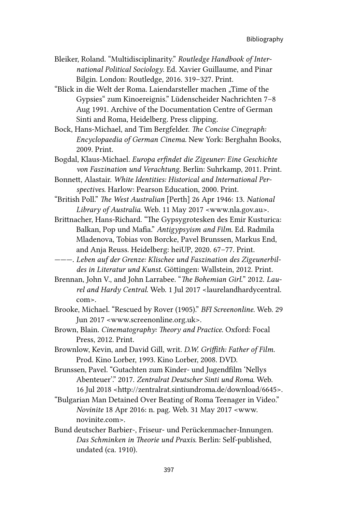- Bleiker, Roland. "Multidisciplinarity." *Routledge Handbook of International Political Sociology*. Ed. Xavier Guillaume, and Pinar Bilgin. London: Routledge, 2016. 319–327. Print.
- "Blick in die Welt der Roma. Laiendarsteller machen "Time of the Gypsies" zum Kinoereignis." Lüdenscheider Nachrichten 7–8 Aug 1991. Archive of the Documentation Centre of German Sinti and Roma, Heidelberg. Press clipping.
- Bock, Hans-Michael, and Tim Bergfelder. *The Concise Cinegraph: Encyclopaedia of German Cinema*. New York: Berghahn Books, 2009. Print.
- Bogdal, Klaus-Michael. *Europa erfindet die Zigeuner: Eine Geschichte von Faszination und Verachtung*. Berlin: Suhrkamp, 2011. Print.
- Bonnett, Alastair. *White Identities: Historical and International Perspectives*. Harlow: Pearson Education, 2000. Print.
- "British Poll." *The West Australian* [Perth] 26 Apr 1946: 13. *National Library of Australia*. Web. 11 May 2017 <[www.nla.gov.au>](http://www.nla.gov.au).
- Brittnacher, Hans-Richard. "The Gypsygrotesken des Emir Kusturica: Balkan, Pop und Mafia." *Antigypsyism and Film*. Ed. Radmila Mladenova, Tobias von Borcke, Pavel Brunssen, Markus End, and Anja Reuss. Heidelberg: heiUP, 2020. 67–77. Print.
- ———. *Leben auf der Grenze: Klischee und Faszination des Zigeunerbildes in Literatur und Kunst*. Göttingen: Wallstein, 2012. Print.
- Brennan, John V., and John Larrabee. "*The Bohemian Girl.*" 2012. *Laurel and Hardy Central*. Web. 1 Jul 2017 <laurelandhardycentral. com>.
- Brooke, Michael. "Rescued by Rover (1905)." *BFI Screenonline*. Web. 29 Jun 2017 <[www.screenonline.org.uk](http://www.screenonline.org.uk)>.
- Brown, Blain. *Cinematography: Theory and Practice*. Oxford: Focal Press, 2012. Print.
- Brownlow, Kevin, and David Gill, writ. *D.W. Griffith: Father of Film.* Prod. Kino Lorber, 1993. Kino Lorber, 2008. DVD.
- Brunssen, Pavel. "Gutachten zum Kinder- und Jugendfilm 'Nellys Abenteuer'." 2017. *Zentralrat Deutscher Sinti und Roma*. Web. 16 Jul 2018 [<http://zentralrat.sintiundroma.de/download/6645](http://zentralrat.sintiundroma.de/download/6645)>.
- "Bulgarian Man Detained Over Beating of Roma Teenager in Video." *Novinite* 18 Apr 2016: n. pag. Web. 31 May 2017 <[www.](http://www.novinite.com) [novinite.com](http://www.novinite.com)>.
- Bund deutscher Barbier-, Friseur- und Perückenmacher-Innungen. *Das Schminken in Theorie und Praxis*. Berlin: Self-published, undated (ca. 1910).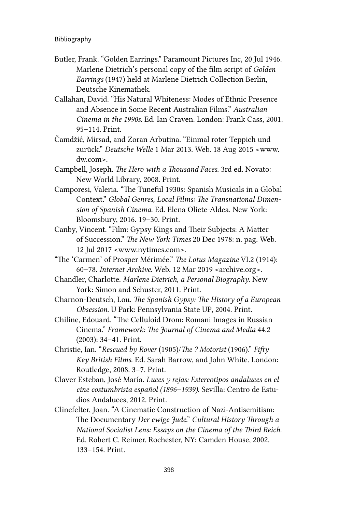- Butler, Frank. "Golden Earrings." Paramount Pictures Inc, 20 Jul 1946. Marlene Dietrich's personal copy of the film script of *Golden Earrings* (1947) held at Marlene Dietrich Collection Berlin, Deutsche Kinemathek.
- Callahan, David. "His Natural Whiteness: Modes of Ethnic Presence and Absence in Some Recent Australian Films." *Australian Cinema in the 1990s*. Ed. Ian Craven. London: Frank Cass, 2001. 95–114. Print.
- Čamdžić, Mirsad, and Zoran Arbutina. "Einmal roter Teppich und zurück." *Deutsche Welle* 1 Mar 2013. Web. 18 Aug 2015 <[www.](http://www.dw.com) [dw.com](http://www.dw.com)>.
- Campbell, Joseph. *The Hero with a Thousand Faces*. 3rd ed. Novato: New World Library, 2008. Print.
- Camporesi, Valeria. "The Tuneful 1930s: Spanish Musicals in a Global Context." *Global Genres, Local Films: The Transnational Dimension of Spanish Cinema*. Ed. Elena Oliete-Aldea. New York: Bloomsbury, 2016. 19–30. Print.
- Canby, Vincent. "Film: Gypsy Kings and Their Subjects: A Matter of Succession." *The New York Times* 20 Dec 1978: n. pag. Web. 12 Jul 2017 <[www.nytimes.com](http://www.nytimes.com)>.
- "The 'Carmen' of Prosper Mérimée." *The Lotus Magazine* VI.2 (1914): 60–78. *Internet Archive.* Web. 12 Mar 2019 [<archive.org](http://archive.org)>.
- Chandler, Charlotte. *Marlene Dietrich, a Personal Biography*. New York: Simon and Schuster, 2011. Print.
- Charnon-Deutsch, Lou. *The Spanish Gypsy: The History of a European Obsession*. U Park: Pennsylvania State UP, 2004. Print.
- Chiline, Edouard. "The Celluloid Drom: Romani Images in Russian Cinema." *Framework: The Journal of Cinema and Media* 44.2 (2003): 34–41. Print.
- Christie, Ian. "*Rescued by Rover* (1905)/*The ? Motorist* (1906)." *Fifty Key British Films*. Ed. Sarah Barrow, and John White. London: Routledge, 2008. 3–7. Print.
- Claver Esteban, José María. *Luces y rejas: Estereotipos andaluces en el cine costumbrista español (1896–1939)*. Sevilla: Centro de Estudios Andaluces, 2012. Print.
- Clinefelter, Joan. "A Cinematic Construction of Nazi-Antisemitism: The Documentary *Der ewige Jude*." *Cultural History Through a National Socialist Lens: Essays on the Cinema of the Third Reich*. Ed. Robert C. Reimer. Rochester, NY: Camden House, 2002. 133–154. Print.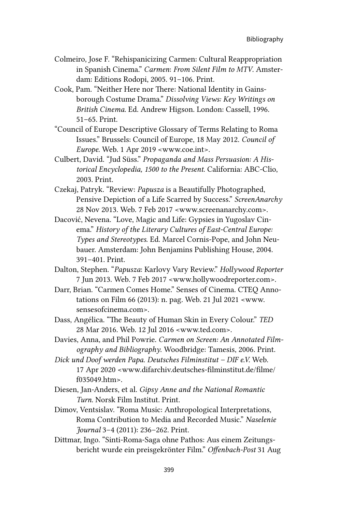- Colmeiro, Jose F. "Rehispanicizing Carmen: Cultural Reappropriation in Spanish Cinema." *Carmen*: *From Silent Film to MTV*. Amsterdam: Editions Rodopi, 2005. 91–106. Print.
- Cook, Pam. "Neither Here nor There: National Identity in Gainsborough Costume Drama." *Dissolving Views: Key Writings on British Cinema*. Ed. Andrew Higson. London: Cassell, 1996. 51–65. Print.
- "Council of Europe Descriptive Glossary of Terms Relating to Roma Issues." Brussels: Council of Europe, 18 May 2012. *Council of Europe.* Web. 1 Apr 2019 [<www.coe.int](http://www.coe.int)>.
- Culbert, David. "Jud Süss." *Propaganda and Mass Persuasion: A Historical Encyclopedia, 1500 to the Present*. California: ABC-Clio, 2003. Print.
- Czekaj, Patryk. "Review: *Papusza* is a Beautifully Photographed, Pensive Depiction of a Life Scarred by Success." *ScreenAnarchy*  28 Nov 2013. Web. 7 Feb 2017 <[www.screenanarchy.com>](http://www.screenanarchy.com).
- Dacović, Nevena. "Love, Magic and Life: Gypsies in Yugoslav Cinema." *History of the Literary Cultures of East-Central Europe: Types and Stereotypes*. Ed. Marcel Cornis-Pope, and John Neubauer. Amsterdam: John Benjamins Publishing House, 2004. 391–401. Print.
- Dalton, Stephen. "*Papusza*: Karlovy Vary Review." *Hollywood Reporter* 7 Jun 2013. Web. 7 Feb 2017 <[www.hollywoodreporter.com](http://www.hollywoodreporter.com)>.
- Darr, Brian. "Carmen Comes Home." Senses of Cinema. CTEQ Annotations on Film 66 (2013): n. pag. Web. 21 Jul 2021 <[www.](http://www.sensesofcinema.com) [sensesofcinema.com](http://www.sensesofcinema.com)>.
- Dass, Angélica. "The Beauty of Human Skin in Every Colour." *TED* 28 Mar 2016. Web. 12 Jul 2016 <[www.ted.com>](http://www.ted.com).
- Davies, Anna, and Phil Powrie. *Carmen on Screen: An Annotated Filmography and Bibliography*. Woodbridge: Tamesis, 2006. Print.
- *Dick und Doof werden Papa*. *Deutsches Filminstitut DIF e.V.* Web. 17 Apr 2020 <[www.difarchiv.deutsches-filminstitut.de/filme/](http://www.difarchiv.deutsches-filminstitut.de/filme/f035049.htm) [f035049.htm](http://www.difarchiv.deutsches-filminstitut.de/filme/f035049.htm)>.
- Diesen, Jan-Anders, et al. *Gipsy Anne and the National Romantic Turn*. Norsk Film Institut. Print.
- Dimov, Ventsislav. "Roma Music: Anthropological Interpretations, Roma Contribution to Media and Recorded Music." *Naselenie Journal* 3–4 (2011): 236–262. Print.
- Dittmar, Ingo. "Sinti-Roma-Saga ohne Pathos: Aus einem Zeitungsbericht wurde ein preisgekrönter Film." *Offenbach-Post* 31 Aug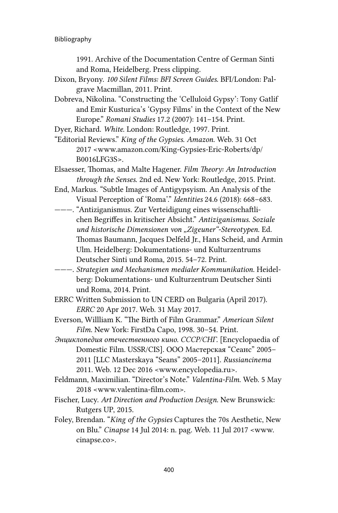1991. Archive of the Documentation Centre of German Sinti and Roma, Heidelberg. Press clipping.

- Dixon, Bryony. *100 Silent Films: BFI Screen Guides*. BFI/London: Palgrave Macmillan, 2011. Print.
- Dobreva, Nikolina. "Constructing the 'Celluloid Gypsy': Tony Gatlif and Emir Kusturica's 'Gypsy Films' in the Context of the New Europe." *Romani Studies* 17.2 (2007): 141–154. Print.

Dyer, Richard. *White*. London: Routledge, 1997. Print.

- "Editorial Reviews." *King of the Gypsies*. *Amazon*. Web. 31 Oct 2017 <[www.amazon.com/King-Gypsies-Eric-Roberts/dp/](http://www.amazon.com/King-Gypsies-Eric-Roberts/dp/B0016LFG3S) [B0016LFG3S>](http://www.amazon.com/King-Gypsies-Eric-Roberts/dp/B0016LFG3S).
- Elsaesser, Thomas, and Malte Hagener. *Film Theory: An Introduction through the Senses*. 2nd ed. New York: Routledge, 2015. Print.
- End, Markus. "Subtle Images of Antigypsyism. An Analysis of the Visual Perception of 'Roma'." *Identities* 24.6 (2018): 668–683.
- ———. "Antiziganismus. Zur Verteidigung eines wissenschaftlichen Begriffes in kritischer Absicht." *Antiziganismus. Soziale und historische Dimensionen von "Zigeuner"-Stereotypen*. Ed. Thomas Baumann, Jacques Delfeld Jr., Hans Scheid, and Armin Ulm. Heidelberg: Dokumentations- und Kulturzentrums Deutscher Sinti und Roma, 2015. 54–72. Print.
- ———. *Strategien und Mechanismen medialer Kommunikation*. Heidelberg: Dokumentations- und Kulturzentrum Deutscher Sinti und Roma, 2014. Print.
- ERRC Written Submission to UN CERD on Bulgaria (April 2017). *ERRC* 20 Apr 2017. Web. 31 May 2017.
- Everson, Willliam K. "The Birth of Film Grammar." *American Silent Film*. New York: FirstDa Capo, 1998. 30–54. Print.
- *Энциклопедия отечественного кино. СССР/СНГ.* [Encyclopaedia of Domestic Film. USSR/CIS]. ООО Мастерская "Сеанс" 2005– 2011 [LLC Masterskaya "Seans" 2005–2011]. *Russiancinema* 2011. Web. 12 Dec 2016 <[www.encyclopedia.ru](http://www.encyclopedia.ru)>.
- Feldmann, Maximilian. "Director's Note." *Valentina-Film*. Web. 5 May 2018 <[www.valentina-film.com](http://www.valentina-film.com)>.
- Fischer, Lucy. *Art Direction and Production Design*. New Brunswick: Rutgers UP, 2015.
- Foley, Brendan. "*King of the Gypsies* Captures the 70s Aesthetic, New on Blu." *Cinapse* 14 Jul 2014: n. pag. Web. 11 Jul 2017 <[www.](http://www.cinapse.co) [cinapse.co](http://www.cinapse.co)>.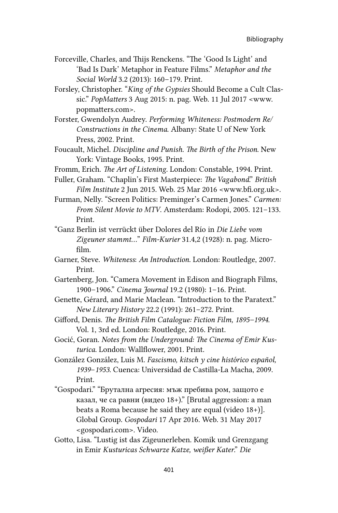- Forceville, Charles, and Thijs Renckens. "The 'Good Is Light' and 'Bad Is Dark' Metaphor in Feature Films." *Metaphor and the Social World* 3.2 (2013): 160–179. Print.
- Forsley, Christopher. "*King of the Gypsies* Should Become a Cult Classic." *PopMatters* 3 Aug 2015: n. pag. Web. 11 Jul 2017 <[www.](http://www.popmatters.com) [popmatters.com](http://www.popmatters.com)>.
- Forster, Gwendolyn Audrey. *Performing Whiteness: Postmodern Re/ Constructions in the Cinema*. Albany: State U of New York Press, 2002. Print.
- Foucault, Michel. *Discipline and Punish. The Birth of the Prison*. New York: Vintage Books, 1995. Print.
- Fromm, Erich. *The Art of Listening*. London: Constable, 1994. Print.
- Fuller, Graham. "Chaplin's First Masterpiece: *The Vagabond*." *British Film Institute* 2 Jun 2015. Web. 25 Mar 2016 <[www.bfi.org.uk](http://www.bfi.org.uk)>.
- Furman, Nelly. "Screen Politics: Preminger's Carmen Jones." *Carmen: From Silent Movie to MTV*. Amsterdam: Rodopi, 2005. 121–133. Print.
- "Ganz Berlin ist verrückt über Dolores del Río in *Die Liebe vom Zigeuner stammt…*" *Film-Kurier* 31.4,2 (1928): n. pag. Microfilm.
- Garner, Steve. *Whiteness*: *An Introduction*. London: Routledge, 2007. Print.
- Gartenberg, Jon. "Camera Movement in Edison and Biograph Films, 1900–1906." *Cinema Journal* 19.2 (1980): 1–16. Print.
- Genette, Gérard, and Marie Maclean. "Introduction to the Paratext." *New Literary History* 22.2 (1991): 261–272. Print.
- Gifford, Denis. *The British Film Catalogue: Fiction Film, 1895–1994*. Vol. 1, 3rd ed. London: Routledge, 2016. Print.
- Gocić, Goran. *Notes from the Underground: The Cinema of Emir Kusturica*. London: Wallflower, 2001. Print.
- González González, Luis M. *Fascismo, kitsch y cine histórico español, 1939*–*1953*. Cuenca: Universidad de Castilla-La Macha, 2009. Print.
- "Gospodari." "Брутална агресия: мъж пребива ром, защото е казал, че са равни (видео 18+)." [Brutal aggression: a man beats a Roma because he said they are equal (video 18+)]. Global Group. *Gospodari* 17 Apr 2016. Web. 31 May 2017 <[gospodari.com>](http://www.gospodari.com). Video.
- Gotto, Lisa. "Lustig ist das Zigeunerleben. Komik und Grenzgang in Emir *Kusturicas Schwarze Katze, weißer Kater*." *Die*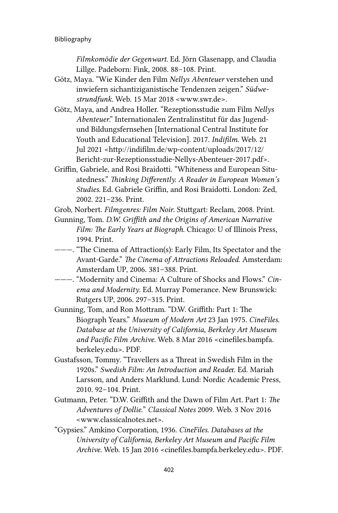*Filmkomödie der Gegenwart*. Ed. Jörn Glasenapp, and Claudia Lillge. Padeborn: Fink, 2008. 88–108. Print.

- Götz, Maya. "Wie Kinder den Film *Nellys Abenteuer* verstehen und inwiefern sichantiziganistische Tendenzen zeigen." *Südwestrundfunk*. Web. 15 Mar 2018 <[www.swr.de](http://www.swr.de)>.
- Götz, Maya, and Andrea Holler. "Rezeptionsstudie zum Film *Nellys Abenteuer*." Internationalen Zentralinstitut für das Jugendund Bildungsfernsehen [International Central Institute for Youth and Educational Television]. 2017. *Indifilm*. Web. 21 Jul 2021 [<http://indifilm.de/wp-content/uploads/2017/12/](http://indifilm.de/wp-content/uploads/2017/12/Bericht-zur-Rezeptionsstudie-Nellys-Abenteuer-2017.pdf) [Bericht-zur-Rezeptionsstudie-Nellys-Abenteuer-2017.pdf](http://indifilm.de/wp-content/uploads/2017/12/Bericht-zur-Rezeptionsstudie-Nellys-Abenteuer-2017.pdf)>.
- Griffin, Gabriele, and Rosi Braidotti. "Whiteness and European Situatedness." *Thinking Differently. A Reader in European Women's Studies*. Ed. Gabriele Griffin, and Rosi Braidotti. London: Zed, 2002. 221–236. Print.

Grob, Norbert. *Filmgenres: Film Noir*. Stuttgart: Reclam, 2008. Print.

- Gunning, Tom. *D.W. Griffith and the Origins of American Narrative Film: The Early Years at Biograph*. Chicago: U of Illinois Press, 1994. Print.
- ———. "The Cinema of Attraction(s): Early Film, Its Spectator and the Avant-Garde." *The Cinema of Attractions Reloaded*. Amsterdam: Amsterdam UP, 2006. 381–388. Print.
- ———. "Modernity and Cinema: A Culture of Shocks and Flows." *Cinema and Modernity*. Ed. Murray Pomerance. New Brunswick: Rutgers UP, 2006. 297–315. Print.
- Gunning, Tom, and Ron Mottram. "D.W. Griffith: Part 1: The Biograph Years." *Museum of Modern Art* 23 Jan 1975. *CineFiles. Database at the University of California, Berkeley Art Museum and Pacific Film Archive*. Web. 8 Mar 2016 <[cinefiles.bampfa.](http://cinefiles.bampfa.berkeley.edu) [berkeley.edu](http://cinefiles.bampfa.berkeley.edu)>. PDF.
- Gustafsson, Tommy. "Travellers as a Threat in Swedish Film in the 1920s." *Swedish Film: An Introduction and Reade*r. Ed. Mariah Larsson, and Anders Marklund. Lund: Nordic Academic Press, 2010. 92–104. Print.
- Gutmann, Peter. "D.W. Griffith and the Dawn of Film Art. Part 1: *The Adventures of Dollie.*" *Classical Notes* 2009. Web. 3 Nov 2016 <[www.classicalnotes.net>](http://www.classicalnotes.net).
- "Gypsies." Amkino Corporation, 1936. *CineFiles. Databases at the University of California, Berkeley Art Museum and Pacific Film Archive*. Web. 15 Jan 2016 [<cinefiles.bampfa.berkeley.edu](http://cinefiles.bampfa.berkeley.edu)>. PDF.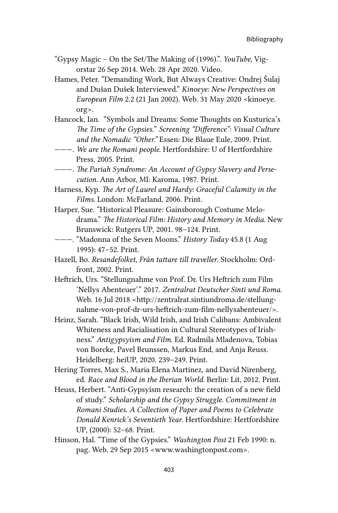- "Gypsy Magic On the Set/The Making of (1996).". *YouTube,* Vigorstar 26 Sep 2014. Web. 28 Apr 2020. Video.
- Hames, Peter. "Demanding Work, But Always Creative: Ondrej Šulaj and Dušan Dušek Interviewed." *Kinoeye: New Perspectives on European Film* 2.2 (21 Jan 2002). Web. 31 May 2020 <[kinoeye.](http://kinoeye.org) [org>](http://kinoeye.org).
- Hancock, Ian. "Symbols and Dreams: Some Thoughts on Kusturica's *The Time of the Gypsies.*" *Screening "Difference": Visual Culture and the Nomadic "Other."* Essen: Die Blaue Eule, 2009. Print.
- ———. *We are the Romani people*. Hertfordshire: U of Hertfordshire Press, 2005. Print.
- ———. *The Pariah Syndrome: An Account of Gypsy Slavery and Persecution*. Ann Arbor, MI: Karoma, 1987. Print.
- Harness, Kyp. *The Art of Laurel and Hardy: Graceful Calamity in the Films*. London: McFarland, 2006. Print.
- Harper, Sue. "Historical Pleasure: Gainsborough Costume Melodrama." *The Historical Film: History and Memory in Media*. New Brunswick: Rutgers UP, 2001. 98–124. Print.
- ———. "Madonna of the Seven Moons." *History Today* 45.8 (1 Aug 1995): 47–52. Print.

Hazell, Bo. *Resandefolket, Från tattare till traveller*. Stockholm: Ordfront, 2002. Print.

- Heftrich, Urs. "Stellungnahme von Prof. Dr. Urs Heftrich zum Film 'Nellys Abenteuer'." 2017. *Zentralrat Deutscher Sinti und Roma*. Web. 16 Jul 2018 <[http://zentralrat.sintiundroma.de/stellung](http://zentralrat.sintiundroma.de/stellungnahme-von-prof-dr-urs-heftrich-zum-film-nellysabenteuer/)[nahme-von-prof-dr-urs-heftrich-zum-film-nellysabenteuer/](http://zentralrat.sintiundroma.de/stellungnahme-von-prof-dr-urs-heftrich-zum-film-nellysabenteuer/)>.
- Heinz, Sarah. "Black Irish, Wild Irish, and Irish Calibans: Ambivalent Whiteness and Racialisation in Cultural Stereotypes of Irishness." *Antigypsyism and Film*. Ed. Radmila Mladenova, Tobias von Borcke, Pavel Brunssen, Markus End, and Anja Reuss. Heidelberg: heiUP, 2020. 239–249. Print.
- Hering Torres, Max S., Maria Elena Martinez, and David Nirenberg, ed. *Race and Blood in the Iberian World*. Berlin: Lit, 2012. Print.
- Heuss, Herbert. "Anti-Gypsyism research: the creation of a new field of study." *Scholarship and the Gypsy Struggle. Commitment in Romani Studies. A Collection of Paper and Poems to Celebrate Donald Kenrick's Seventieth Year*. Hertfordshire: Hertfordshire UP, (2000): 52–68. Print.
- Hinson, Hal. "Time of the Gypsies." *Washington Post* 21 Feb 1990: n. pag. Web. 29 Sep 2015 <[www.washingtonpost.com](http://www.washingtonpost.com)>.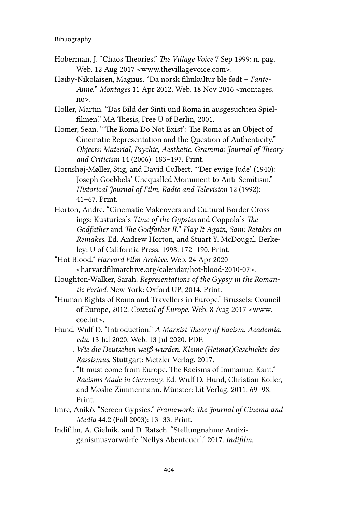- Hoberman, J. "Chaos Theories." *The Village Voice* 7 Sep 1999: n. pag. Web. 12 Aug 2017 <[www.thevillagevoice.com>](http://www.thevillagevoice.com).
- Høiby-Nikolaisen, Magnus. "Da norsk filmkultur ble født *Fante-Anne.*" *Montages* 11 Apr 2012. Web. 18 Nov 2016 [<montages.](http://montages.no) [no](http://montages.no)>.
- Holler, Martin. "Das Bild der Sinti und Roma in ausgesuchten Spielfilmen." MA Thesis, Free U of Berlin, 2001.
- Homer, Sean. "'The Roma Do Not Exist': The Roma as an Object of Cinematic Representation and the Question of Authenticity." *Objects: Material, Psychic, Aesthetic. Gramma: Journal of Theory and Criticism* 14 (2006): 183–197. Print.
- Hornshøj-Møller, Stig, and David Culbert. "'Der ewige Jude' (1940): Joseph Goebbels' Unequalled Monument to Anti-Semitism." *Historical Journal of Film, Radio and Television* 12 (1992): 41–67. Print.
- Horton, Andre. "Cinematic Makeovers and Cultural Border Crossings: Kusturica's *Time of the Gypsies* and Coppola's *The Godfather* and *The Godfather II.*" *Play It Again, Sam*: *Retakes on Remakes*. Ed. Andrew Horton, and Stuart Y. McDougal. Berkeley: U of California Press, 1998. 172–190. Print.
- "Hot Blood." *Harvard Film Archive*. Web. 24 Apr 2020 <harvardfilmarchive.org/calendar/hot-blood-2010-07>.
- Houghton-Walker, Sarah. *Representations of the Gypsy in the Romantic Period*. New York: Oxford UP, 2014. Print.
- "Human Rights of Roma and Travellers in Europe." Brussels: Council of Europe, 2012. *Council of Europe*. Web. 8 Aug 2017 <[www.](http://www.coe.int) [coe.int>](http://www.coe.int).
- Hund, Wulf D. "Introduction." *A Marxist Theory of Racism. Academia. edu*. 13 Jul 2020. Web. 13 Jul 2020. PDF.
- ———. *Wie die Deutschen weiß wurden. Kleine (Heimat)Geschichte des Rassismus*. Stuttgart: Metzler Verlag, 2017.
- ———. "It must come from Europe. The Racisms of Immanuel Kant." *Racisms Made in Germany*. Ed. Wulf D. Hund, Christian Koller, and Moshe Zimmermann. Münster: Lit Verlag, 2011. 69–98. Print.
- Imre, Anikó. "Screen Gypsies." *Framework: The Journal of Cinema and Media* 44.2 (Fall 2003): 13–33. Print.
- Indifilm, A. Gielnik, and D. Ratsch. "Stellungnahme Antiziganismusvorwürfe 'Nellys Abenteuer'." 2017. *Indifilm*.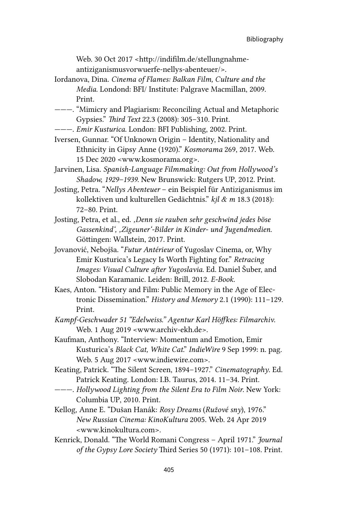Web. 30 Oct 2017 [<http://indifilm.de/stellungnahme](http://indifilm.de/stellungnahme-antiziganismusvorwuerfe-nellys-abenteuer/)[antiziganismusvorwuerfe-nellys-abenteuer/>](http://indifilm.de/stellungnahme-antiziganismusvorwuerfe-nellys-abenteuer/).

- Iordanova, Dina. *Cinema of Flames: Balkan Film, Culture and the Media*. Londond: BFI/ Institute: Palgrave Macmillan, 2009. Print.
- ———. "Mimicry and Plagiarism: Reconciling Actual and Metaphoric Gypsies." *Third Text* 22.3 (2008): 305–310. Print.
- ———. *Emir Kusturica*. London: BFI Publishing, 2002. Print.
- Iversen, Gunnar. "Of Unknown Origin Identity, Nationality and Ethnicity in Gipsy Anne (1920)." *Kosmorama* 269, 2017. Web. 15 Dec 2020 <[www.kosmorama.org](http://www.kosmorama.org)>.
- Jarvinen, Lisa. *Spanish-Language Filmmaking: Out from Hollywood's Shadow, 1929–1939*. New Brunswick: Rutgers UP, 2012. Print.
- Josting, Petra. "*Nellys Abenteuer* ein Beispiel für Antiziganismus im kollektiven und kulturellen Gedächtnis." *kjl & m* 18.3 (2018): 72–80. Print.
- Josting, Petra, et al., ed. *'Denn sie rauben sehr geschwind jedes böse Gassenkind'' 'Zigeuner'-Bilder in Kinder- und Jugendmedien*. Göttingen: Wallstein, 2017. Print.
- Jovanović, Nebojša. "*Futur Antérieur* of Yugoslav Cinema, or, Why Emir Kusturica's Legacy Is Worth Fighting for." *Retracing Images: Visual Culture after Yugoslavia*. Ed. Daniel Šuber, and Slobodan Karamanic. Leiden: Brill, 2012. *E-Book.*
- Kaes, Anton. "History and Film: Public Memory in the Age of Electronic Dissemination." *History and Memory* 2.1 (1990): 111–129. Print.
- *Kampf-Geschwader 51 "Edelweiss." Agentur Karl Höffkes: Filmarchiv*. Web. 1 Aug 2019 <[www.archiv-ekh.de>](http://www.archiv-ekh.de).
- Kaufman, Anthony. "Interview: Momentum and Emotion, Emir Kusturica's *Black Cat, White Cat*." *IndieWire* 9 Sep 1999: n. pag. Web. 5 Aug 2017 <[www.indiewire.com](http://www.indiewire.com)>.
- Keating, Patrick. "The Silent Screen, 1894–1927." *Cinematography*. Ed. Patrick Keating. London: I.B. Taurus, 2014. 11–34. Print.
- ———. *Hollywood Lighting from the Silent Era to Film Noir*. New York: Columbia UP, 2010. Print.
- Kellog, Anne E. "Dušan Hanák: *Rosy Dreams* (*Ružové sny*), 1976." *New Russian Cinema: KinoKultura* 2005. Web. 24 Apr 2019 <www.kinokultura.com>.
- Kenrick, Donald. "The World Romani Congress April 1971." *Journal of the Gypsy Lore Society* Third Series 50 (1971): 101–108. Print.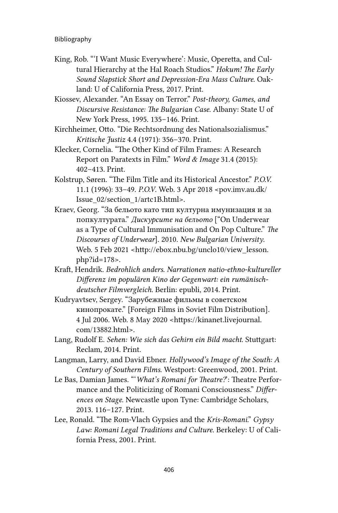- King, Rob. "'I Want Music Everywhere': Music, Operetta, and Cultural Hierarchy at the Hal Roach Studios." *Hokum! The Early Sound Slapstick Short and Depression-Era Mass Culture*. Oakland: U of California Press, 2017. Print.
- Kiossev, Alexander. "An Essay on Terror." *Post-theory, Games, and Discursive Resistance: The Bulgarian Case*. Albany: State U of New York Press, 1995. 135–146. Print.
- Kirchheimer, Otto. "Die Rechtsordnung des Nationalsozialismus." *Kritische Justiz* 4.4 (1971): 356–370. Print.
- Klecker, Cornelia. "The Other Kind of Film Frames: A Research Report on Paratexts in Film." *Word & Image* 31.4 (2015): 402–413. Print.
- Kolstrup, Søren. "The Film Title and its Historical Ancestor." *P.O.V.* 11.1 (1996): 33–49. *P.O.V*. Web. 3 Apr 2018 <[pov.imv.au.dk/](http://pov.imv.au.dk/Issue_02/section_1/artc1B.html) [Issue\\_02/section\\_1/artc1B.html>](http://pov.imv.au.dk/Issue_02/section_1/artc1B.html).
- Kraev, Georg. "За бельото като тип културна имунизация и за попкултурата." *Дискурсите на бельото* ["On Underwear as a Type of Cultural Immunisation and On Pop Culture." *The Discourses of Underwear*]. 2010. *New Bulgarian University*. Web. 5 Feb 2021 <[http://ebox.nbu.bg/unclo10/view\\_lesson.](http://ebox.nbu.bg/unclo10/view_lesson.php?id=178) [php?id=178](http://ebox.nbu.bg/unclo10/view_lesson.php?id=178)>.
- Kraft, Hendrik. *Bedrohlich anders. Narrationen natio-ethno-kultureller Differenz im populären Kino der Gegenwart: ein rumänischdeutscher Filmvergleich*. Berlin: epubli, 2014. Print.
- Kudryavtsev, Sergey. "Зарубежные фильмы в советском кинопрокате." [Foreign Films in Soviet Film Distribution]. 4 Jul 2006. Web. 8 May 2020 [<https://kinanet.livejournal.](https://kinanet.livejournal.com/13882.html) [com/13882.html](https://kinanet.livejournal.com/13882.html)>.
- Lang, Rudolf E. *Sehen: Wie sich das Gehirn ein Bild macht*. Stuttgart: Reclam, 2014. Print.
- Langman, Larry, and David Ebner. *Hollywood's Image of the South: A Century of Southern Films*. Westport: Greenwood, 2001. Print.
- Le Bas, Damian James. "'*What's Romani for Theatre?*': Theatre Performance and the Politicizing of Romani Consciousness." *Differences on Stage*. Newcastle upon Tyne: Cambridge Scholars, 2013. 116–127. Print.
- Lee, Ronald. "The Rom-Vlach Gypsies and the *Kris-Romani*." *Gypsy Law: Romani Legal Traditions and Culture*. Berkeley: U of California Press, 2001. Print.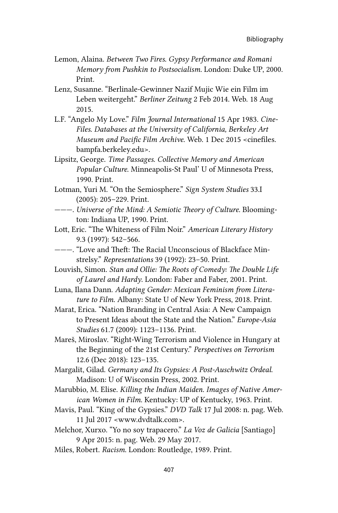- Lemon, Alaina. *Between Two Fires. Gypsy Performance and Romani Memory from Pushkin to Postsocialism.* London: Duke UP, 2000. Print.
- Lenz, Susanne. "Berlinale-Gewinner Nazif Mujic Wie ein Film im Leben weitergeht." *Berliner Zeitung* 2 Feb 2014. Web. 18 Aug 2015.
- L.F. "Angelo My Love." *Film Journal International* 15 Apr 1983. *Cine-Files. Databases at the University of California, Berkeley Art Museum and Pacific Film Archive*. Web. 1 Dec 2015 <[cinefiles.](http://cinefiles.bampfa.berkeley.edu) [bampfa.berkeley.edu](http://cinefiles.bampfa.berkeley.edu)>.
- Lipsitz, George. *Time Passages. Collective Memory and American Popular Culture*. Minneapolis-St Paul' U of Minnesota Press, 1990. Print.
- Lotman, Yuri M. "On the Semiosphere." *Sign System Studies* 33.I (2005): 205–229. Print.
- ———. *Universe of the Mind: A Semiotic Theory of Culture*. Bloomington: Indiana UP, 1990. Print.
- Lott, Eric. "The Whiteness of Film Noir." *American Literary History* 9.3 (1997): 542–566.
- ———. "Love and Theft: The Racial Unconscious of Blackface Minstrelsy." *Representations* 39 (1992): 23–50. Print.
- Louvish, Simon. *Stan and Ollie: The Roots of Comedy: The Double Life of Laurel and Hardy*. London: Faber and Faber, 2001. Print.
- Luna, Ilana Dann. *Adapting Gender: Mexican Feminism from Literature to Film*. Albany: State U of New York Press, 2018. Print.
- Marat, Erica. "Nation Branding in Central Asia: A New Campaign to Present Ideas about the State and the Nation." *Europe-Asia Studies* 61.7 (2009): 1123–1136. Print.
- Mareš, Miroslav. "Right-Wing Terrorism and Violence in Hungary at the Beginning of the 21st Century." *Perspectives on Terrorism* 12.6 (Dec 2018): 123–135.
- Margalit, Gilad. *Germany and Its Gypsies: A Post-Auschwitz Ordeal*. Madison: U of Wisconsin Press, 2002. Print.
- Marubbio, M. Elise. *Killing the Indian Maiden. Images of Native American Women in Film*. Kentucky: UP of Kentucky, 1963. Print.
- Mavis, Paul. "King of the Gypsies." *DVD Talk* 17 Jul 2008: n. pag. Web. 11 Jul 2017 <[www.dvdtalk.com>](http://www.dvdtalk.com).
- Melchor, Xurxo. "Yo no soy trapacero." *La Voz de Galicia* [Santiago] 9 Apr 2015: n. pag. Web. 29 May 2017.
- Miles, Robert. *Racism*. London: Routledge, 1989. Print.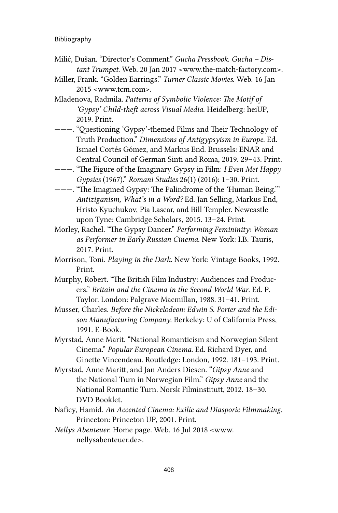Bibliography

- Milić, Dušan. "Director's Comment." *Gucha Pressbook*. *Gucha Distant Trumpet.* Web. 20 Jan 2017 <[www.the-match-factory.com](http://www.the-match-factory.com)>.
- Miller, Frank. "Golden Earrings." *Turner Classic Movies*. Web. 16 Jan 2015 <[www.tcm.com](http://www.tcm.com)>.
- Mladenova, Radmila. *Patterns of Symbolic Violence: The Motif of 'Gypsy' Child-theft across Visual Media*. Heidelberg: heiUP, 2019. Print.
- ———. "Questioning 'Gypsy'-themed Films and Their Technology of Truth Production." *Dimensions of Antigypsyism in Europe*. Ed. Ismael Cortés Gómez, and Markus End. Brussels: ENAR and Central Council of German Sinti and Roma, 2019. 29–43. Print.
- ———. "The Figure of the Imaginary Gypsy in Film: *I Even Met Happy Gypsies* (1967)." *Romani Studies* 26(1) (2016): 1–30. Print.
- ———. "The Imagined Gypsy: The Palindrome of the 'Human Being.'" *Antiziganism, What's in a Word?* Ed. Jan Selling, Markus End, Hristo Kyuchukov, Pia Lascar, and Bill Templer. Newcastle upon Tyne: Cambridge Scholars, 2015. 13–24. Print.
- Morley, Rachel. "The Gypsy Dancer." *Performing Femininity: Woman as Performer in Early Russian Cinema*. New York: I.B. Tauris, 2017. Print.
- Morrison, Toni. *Playing in the Dark*. New York: Vintage Books, 1992. Print.
- Murphy, Robert. "The British Film Industry: Audiences and Producers." *Britain and the Cinema in the Second World War*. Ed. P. Taylor. London: Palgrave Macmillan, 1988. 31–41. Print.
- Musser, Charles. *Before the Nickelodeon: Edwin S. Porter and the Edison Manufacturing Company*. Berkeley: U of California Press, 1991. E-Book.
- Myrstad, Anne Marit. "National Romanticism and Norwegian Silent Cinema." *Popular European Cinema*. Ed. Richard Dyer, and Ginette Vincendeau. Routledge: London, 1992. 181–193. Print.
- Myrstad, Anne Maritt, and Jan Anders Diesen. "*Gipsy Anne* and the National Turn in Norwegian Film." *Gipsy Anne* and the National Romantic Turn*.* Norsk Filminstitutt, 2012. 18–30. DVD Booklet.
- Naficy, Hamid. *An Accented Cinema: Exilic and Diasporic Filmmaking.* Princeton: Princeton UP, 2001. Print.
- *Nellys Abenteuer*. Home page. Web. 16 Jul 2018 <[www.](http://www.nellysabenteuer.de) [nellysabenteuer.de>](http://www.nellysabenteuer.de).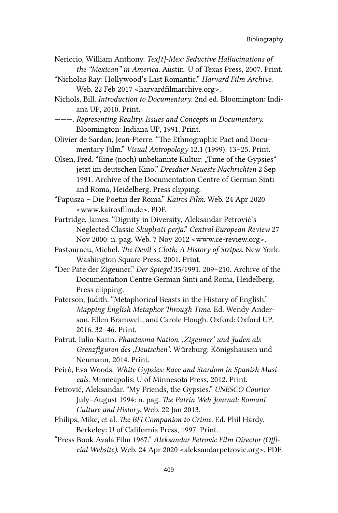- Nericcio, William Anthony. *Tex[t]-Mex: Seductive Hallucinations of the "Mexican" in America*. Austin: U of Texas Press, 2007. Print.
- "Nicholas Ray: Hollywood's Last Romantic." *Harvard Film Archive*. Web. 22 Feb 2017 <[harvardfilmarchive.org](http://harvardfilmarchive.org)>.
- Nichols, Bill. *Introduction to Documentary*. 2nd ed. Bloomington: Indiana UP, 2010. Print.
- ———. *Representing Reality: Issues and Concepts in Documentary.* Bloomington: Indiana UP, 1991. Print.
- Olivier de Sardan, Jean-Pierre. "The Ethnographic Pact and Documentary Film." *Visual Antropology* 12.1 (1999): 13–25. Print.
- Olsen, Fred. "Eine (noch) unbekannte Kultur: "Time of the Gypsies" jetzt im deutschen Kino." *Dresdner Neueste Nachrichten* 2 Sep 1991. Archive of the Documentation Centre of German Sinti and Roma, Heidelberg. Press clipping.
- "Papusza Die Poetin der Roma." *Kairos Film*. Web. 24 Apr 2020 <[www.kairosfilm.de](http://www.kairosfilm.de)>. PDF.
- Partridge, James. "Dignity in Diversity, Aleksandar Petrović's Neglected Classic *Skupljači perja*." *Central European Review* 27 Nov 2000: n. pag. Web. 7 Nov 2012 <[www.ce-review.org](http://www.ce-review.org)>.
- Pastouraeu, Michel. *The Devil's Cloth: A History of Stripes.* New York: Washington Square Press, 2001. Print.
- "Der Pate der Zigeuner." *Der Spiegel* 35/1991. 209–210. Archive of the Documentation Centre German Sinti and Roma, Heidelberg. Press clipping.
- Paterson, Judith. "Metaphorical Beasts in the History of English." *Mapping English Metaphor Through Time*. Ed. Wendy Anderson, Ellen Bramwell, and Carole Hough. Oxford: Oxford UP, 2016. 32–46. Print.
- Patrut, Iulia-Karin. *Phantasma Nation. 'Zigeuner' und Juden als Grenzfiguren des 'Deutschen'*. Würzburg: Königshausen und Neumann, 2014. Print.
- Peiró, Eva Woods. *White Gypsies: Race and Stardom in Spanish Musicals*. Minneapolis: U of Minnesota Press, 2012. Print.
- Petrović, Aleksandar. "My Friends, the Gypsies." *UNESCO Courier* July–August 1994: n. pag. *The Patrin Web Journal: Romani Culture and History.* Web. 22 Jan 2013.
- Philips, Mike, et al. *The BFI Companion to Crime*. Ed. Phil Hardy. Berkeley: U of California Press, 1997. Print.
- "Press Book Avala Film 1967." *Aleksandar Petrovic Film Director (Official Website)*. Web. 24 Apr 2020 <[aleksandarpetrovic.org](http://aleksandarpetrovic.org)>. PDF.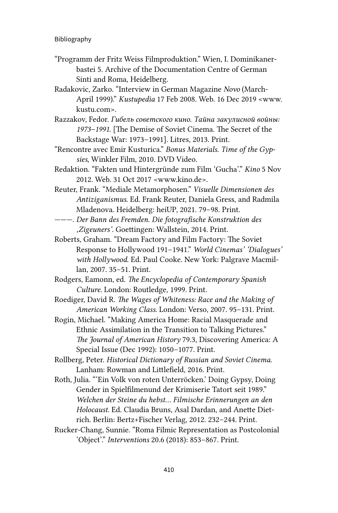- "Programm der Fritz Weiss Filmproduktion." Wien, I. Dominikanerbastei 5. Archive of the Documentation Centre of German Sinti and Roma, Heidelberg.
- Radakovic, Zarko. "Interview in German Magazine *Novo* (March-April 1999)." *Kustupedia* 17 Feb 2008. Web. 16 Dec 2019 <[www.](http://www.kustu.com) [kustu.com>](http://www.kustu.com).
- Razzakov, Fedor. *Гибель советского кино. Тайна закулисной войны: 1973–1991*. [The Demise of Soviet Cinema. The Secret of the Backstage War: 1973–1991]. Litres, 2013. Print.
- "Rencontre avec Emir Kusturica." *Bonus Materials. Time of the Gypsies,* Winkler Film, 2010. DVD Video.
- Redaktion. "Fakten und Hintergründe zum Film 'Gucha'." *Kino* 5 Nov 2012. Web. 31 Oct 2017 <[www.kino.de](http://www.kino.de)>.
- Reuter, Frank. "Mediale Metamorphosen." *Visuelle Dimensionen des Antiziganismus*. Ed. Frank Reuter, Daniela Gress, and Radmila Mladenova. Heidelberg: heiUP, 2021. 79–98. Print.
- ———. *Der Bann des Fremden. Die fotografische Konstruktion des 'Zigeuners'*. Goettingen: Wallstein, 2014. Print.
- Roberts, Graham. "Dream Factory and Film Factory: The Soviet Response to Hollywood 191–1941." *World Cinemas' 'Dialogues' with Hollywood*. Ed. Paul Cooke. New York: Palgrave Macmillan, 2007. 35–51. Print.
- Rodgers, Eamonn, ed. *The Encyclopedia of Contemporary Spanish Culture*. London: Routledge, 1999. Print.
- Roediger, David R. *The Wages of Whiteness: Race and the Making of American Working Class*. London: Verso, 2007. 95–131. Print.
- Rogin, Michael. "Making America Home: Racial Masquerade and Ethnic Assimilation in the Transition to Talking Pictures." *The Journal of American History* 79.3, Discovering America: A Special Issue (Dec 1992): 1050–1077. Print.
- Rollberg, Peter. *Historical Dictionary of Russian and Soviet Cinema*. Lanham: Rowman and Littlefield, 2016. Print.
- Roth, Julia. "'Ein Volk von roten Unterröcken.' Doing Gypsy, Doing Gender in Spielfilmenund der Krimiserie Tatort seit 1989." *Welchen der Steine du hebst… Filmische Erinnerungen an den Holocaust*. Ed. Claudia Bruns, Asal Dardan, and Anette Dietrich. Berlin: Bertz+Fischer Verlag, 2012. 232–244. Print.
- Rucker-Chang, Sunnie. "Roma Filmic Representation as Postcolonial 'Object'." *Interventions* 20.6 (2018): 853–867. Print.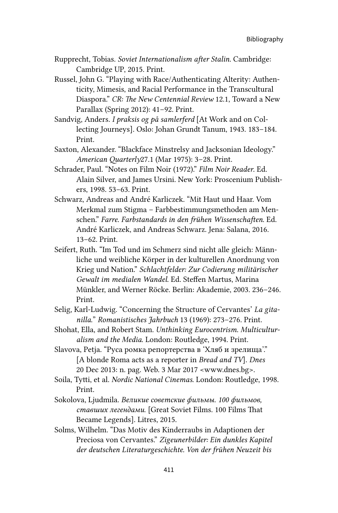- Rupprecht, Tobias. *Soviet Internationalism after Stalin*. Cambridge: Cambridge UP, 2015. Print.
- Russel, John G. "Playing with Race/Authenticating Alterity: Authenticity, Mimesis, and Racial Performance in the Transcultural Diaspora." *CR: The New Centennial Review* 12.1, Toward a New Parallax (Spring 2012): 41–92. Print.
- Sandvig, Anders. *I praksis og på samlerferd* [At Work and on Collecting Journeys]. Oslo: Johan Grundt Tanum, 1943. 183–184. Print.
- Saxton, Alexander. "Blackface Minstrelsy and Jacksonian Ideology." *American Quarterly*27.1 (Mar 1975): 3–28. Print.
- Schrader, Paul. "Notes on Film Noir (1972)." *Film Noir Reader*. Ed. Alain Silver, and James Ursini. New York: Proscenium Publishers, 1998. 53–63. Print.
- Schwarz, Andreas and André Karliczek. "Mit Haut und Haar. Vom Merkmal zum Stigma – Farbbestimmungsmethoden am Menschen." *Farre. Farbstandards in den frühen Wissenschaften*. Ed. André Karliczek, and Andreas Schwarz. Jena: Salana, 2016. 13–62. Print.
- Seifert, Ruth. "Im Tod und im Schmerz sind nicht alle gleich: Männliche und weibliche Körper in der kulturellen Anordnung von Krieg und Nation." *Schlachtfelder: Zur Codierung militärischer Gewalt im medialen Wandel*. Ed. Steffen Martus, Marina Münkler, and Werner Röcke. Berlin: Akademie, 2003. 236–246. Print.
- Selig, Karl-Ludwig. "Concerning the Structure of Cervantes' *La gitanilla.*" *Romanistisches Jahrbuch* 13 (1969): 273–276. Print.
- Shohat, Ella, and Robert Stam. *Unthinking Eurocentrism. Multiculturalism and the Media*. London: Routledge, 1994. Print.
- Slavova, Petja. "Руса ромка репортерства в 'Хляб и зрелища'." [A blonde Roma acts as a reporter in *Bread and TV*]. *Dnes* 20 Dec 2013: n. pag. Web. 3 Mar 2017 <[www.dnes.bg>](http://www.dnes.bg).
- Soila, Tytti, et al. *Nordic National Cinemas*. London: Routledge, 1998. Print.
- Sokolova, Ljudmila. *Великие советские фильмы. 100 фильмов, ставших легендами*. [Great Soviet Films. 100 Films That Became Legends]. Litres, 2015.
- Solms, Wilhelm. "Das Motiv des Kinderraubs in Adaptionen der Preciosa von Cervantes." *Zigeunerbilder: Ein dunkles Kapitel der deutschen Literaturgeschichte. Von der frühen Neuzeit bis*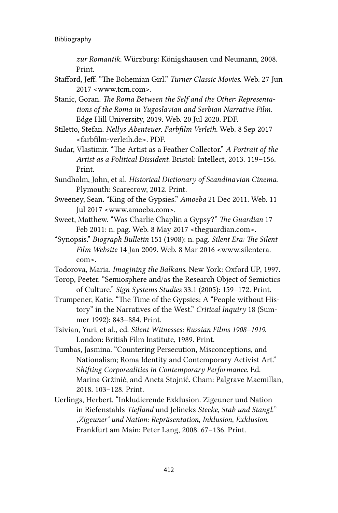*zur Romantik*. Würzburg: Königshausen und Neumann, 2008. Print.

- Stafford, Jeff. "The Bohemian Girl." *Turner Classic Movies*. Web. 27 Jun 2017 <[www.tcm.com](http://www.tcm.com)>.
- Stanic, Goran. *The Roma Between the Self and the Other: Representations of the Roma in Yugoslavian and Serbian Narrative Film*. Edge Hill University, 2019. Web. 20 Jul 2020. PDF.
- Stiletto, Stefan. *Nellys Abenteuer*. *Farbfilm Verleih.* Web. 8 Sep 2017 <[farbfilm-verleih.de](http://farbfilm-verleih.de)>. PDF.
- Sudar, Vlastimir. "The Artist as a Feather Collector." *A Portrait of the Artist as a Political Dissident*. Bristol: Intellect, 2013. 119–156. Print.

Sundholm, John, et al. *Historical Dictionary of Scandinavian Cinema*. Plymouth: Scarecrow, 2012. Print.

- Sweeney, Sean. "King of the Gypsies." *Amoeba* 21 Dec 2011. Web. 11 Jul 2017 <[www.amoeba.com](http://www.amoeba.com)>.
- Sweet, Matthew. "Was Charlie Chaplin a Gypsy?" *The Guardian* 17 Feb 2011: n. pag. Web. 8 May 2017 <theguardian.com>.
- "Synopsis." *Biograph Bulletin* 151 (1908): n. pag. *Silent Era: The Silent Film Website* 14 Jan 2009. Web. 8 Mar 2016 <[www.silentera.](http://www.silentera.com) [com](http://www.silentera.com)>.
- Todorova, Maria*. Imagining the Balkans*. New York: Oxford UP, 1997.
- Torop, Peeter. "Semiosphere and/as the Research Object of Semiotics of Culture." *Sign Systems Studies* 33.1 (2005): 159–172. Print.
- Trumpener, Katie. "The Time of the Gypsies: A "People without History" in the Narratives of the West." *Critical Inquiry* 18 (Summer 1992): 843–884. Print.
- Tsivian, Yuri, et al., ed. *Silent Witnesses: Russian Films 1908–1919*. London: British Film Institute, 1989. Print.
- Tumbas, Jasmina. "Countering Persecution, Misconceptions, and Nationalism; Roma Identity and Contemporary Activist Art." S*hifting Corporealities in Contemporary Performance*. Ed. Marina Gržinić, and Aneta Stojnić. Cham: Palgrave Macmillan, 2018. 103–128. Print.
- Uerlings, Herbert. "Inkludierende Exklusion. Zigeuner und Nation in Riefenstahls *Tiefland* und Jelineks *Stecke, Stab und Stangl.*" *'Zigeuner' und Nation: Repräsentation, Inklusion, Exklusion*. Frankfurt am Main: Peter Lang, 2008. 67–136. Print.